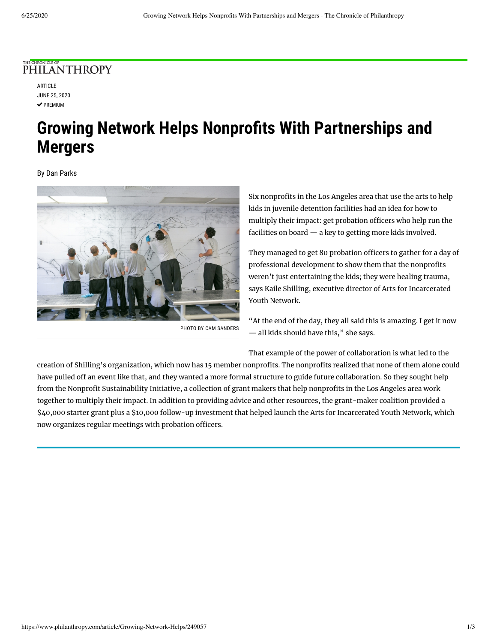## PHILANTHROPY

ARTICLE JUNE 25, 2020  $\vee$  PREMIUM

# **Growing Network Helps Nonprofits With Partnerships and Mergers**

By Dan Parks



PHOTO BY CAM SANDERS

Six nonprofits in the Los Angeles area that use the arts to help kids in juvenile detention facilities had an idea for how to multiply their impact: get probation officers who help run the facilities on board — a key to getting more kids involved.

They managed to get 80 probation officers to gather for a day of professional development to show them that the nonprofits weren't just entertaining the kids; they were healing trauma, says Kaile Shilling, executive director of Arts for Incarcerated Youth Network.

"At the end of the day, they all said this is amazing. I get it now — all kids should have this," she says.

That example of the power of collaboration is what led to the

creation of Shilling's organization, which now has 15 member nonprofits. The nonprofits realized that none of them alone could have pulled off an event like that, and they wanted a more formal structure to guide future collaboration. So they sought help from the Nonprofit Sustainability Initiative, a collection of grant makers that help nonprofits in the Los Angeles area work together to multiply their impact. In addition to providing advice and other resources, the grant-maker coalition provided a \$40,000 starter grant plus a \$10,000 follow-up investment that helped launch the Arts for Incarcerated Youth Network, which now organizes regular meetings with probation officers.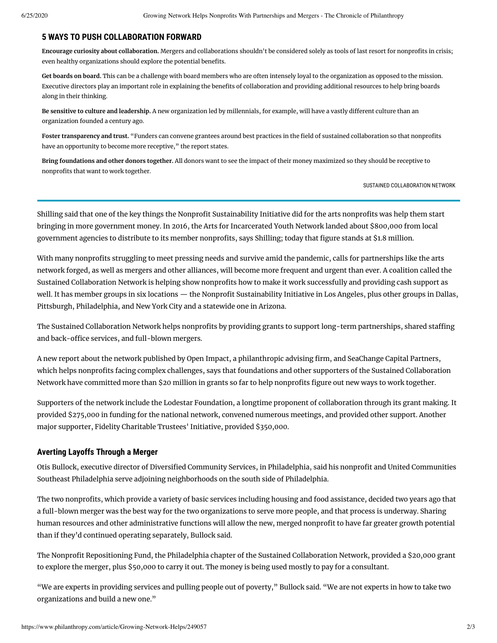#### **5 WAYS TO PUSH COLLABORATION FORWARD**

Encourage curiosity about collaboration. Mergers and collaborations shouldn't be considered solely as tools of last resort for nonprofits in crisis; even healthy organizations should explore the potential benefits.

**Get boards on board.** This can be a challenge with board members who are often intensely loyal to the organization as opposed to the mission. Executive directors play an important role in explaining the benefits of collaboration and providing additional resources to help bring boards along in their thinking.

Be sensitive to culture and leadership. A new organization led by millennials, for example, will have a vastly different culture than an organization founded a century ago.

Foster transparency and trust. "Funders can convene grantees around best practices in the field of sustained collaboration so that nonprofits have an opportunity to become more receptive," the report states.

**Bring foundations and other donors together.** All donors want to see the impact of their money maximized so they should be receptive to nonprofits that want to work together.

SUSTAINED COLLABORATION NETWORK

Shilling said that one of the key things the Nonprofit Sustainability Initiative did for the arts nonprofits was help them start bringing in more government money. In 2016, the Arts for Incarcerated Youth Network landed about \$800,000 from local government agencies to distribute to its member nonprofits, says Shilling; today that figure stands at \$1.8 million.

With many nonprofits struggling to meet pressing needs and survive amid the pandemic, calls for partnerships like the arts network forged, as well as mergers and other alliances, will become more frequent and urgent than ever. A coalition called the Sustained Collaboration Network is helping show nonprofits how to make it work successfully and providing cash support as well. It has member groups in six locations — the Nonprofit Sustainability Initiative in Los Angeles, plus other groups in Dallas, Pittsburgh, Philadelphia, and New York City and a statewide one in Arizona.

The Sustained Collaboration Network helps nonprofits by providing grants to support long-term partnerships, shared staffing and back-office services, and full-blown [mergers](https://www.philanthropy.com/article/Ask-an-Expert-Starting-the/249002).

A new [report](https://www.sustainedcollab.org/wp-content/uploads/2020/05/Building-Capacity-For-Sustained-Collaboration.pdf) about the network published by Open Impact, a philanthropic advising firm, and SeaChange Capital Partners, which helps nonprofits facing complex challenges, says that foundations and other supporters of the Sustained Collaboration Network have committed more than \$20 million in grants so far to help nonprofits figure out new ways to work together.

Supporters of the network include the Lodestar Foundation, a longtime proponent of collaboration through its grant making. It provided \$275,000 in funding for the national network, convened numerous meetings, and provided other support. Another major supporter, Fidelity Charitable Trustees' Initiative, provided \$350,000.

#### **Averting Layoffs Through a Merger**

Otis Bullock, executive director of Diversified Community Services, in Philadelphia, said his nonprofit and United Communities Southeast Philadelphia serve adjoining neighborhoods on the south side of Philadelphia.

The two nonprofits, which provide a variety of basic services including housing and food assistance, decided two years ago that a full-blown merger was the best way for the two organizations to serve more people, and that process is underway. Sharing human resources and other administrative functions will allow the new, merged nonprofit to have far greater growth potential than if they'd continued operating separately, Bullock said.

The Nonprofit Repositioning Fund, the Philadelphia chapter of the Sustained Collaboration Network, provided a \$20,000 grant to explore the merger, plus \$50,000 to carry it out. The money is being used mostly to pay for a consultant.

"We are experts in providing services and pulling people out of poverty," Bullock said. "We are not experts in how to take two organizations and build a new one."